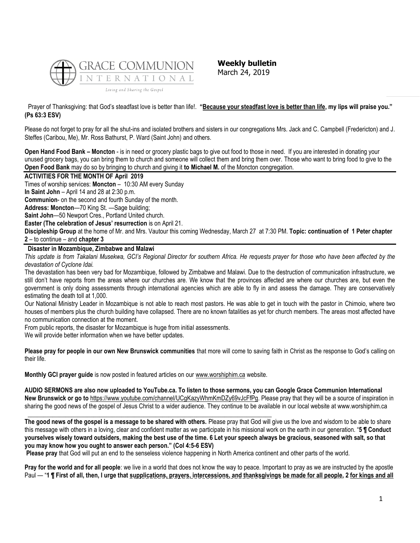

**Weekly bulletin** March 24, 2019

Prayer of Thanksgiving: that God's steadfast love is better than life!. **"Because your steadfast love is better than life, my lips will praise you." (Ps 63:3 ESV)**

Please do not forget to pray for all the shut-ins and isolated brothers and sisters in our congregations Mrs. Jack and C. Campbell (Fredericton) and J. Steffes (Caribou, Me), Mr. Ross Bathurst, P. Ward (Saint John) and others.

**Open Hand Food Bank – Moncton** - is in need or grocery plastic bags to give out food to those in need. If you are interested in donating your unused grocery bags, you can bring them to church and someone will collect them and bring them over. Those who want to bring food to give to the **Open Food Bank** may do so by bringing to church and giving it **to Michael M.** of the Moncton congregation.

### **ACTIVITIES FOR THE MONTH OF April 2019**

Times of worship services: **Moncton** – 10:30 AM every Sunday

**In Saint John** – April 14 and 28 at 2:30 p.m.

**Communion**- on the second and fourth Sunday of the month.

**Address: Moncton**—70 King St. —Sage building;

**Saint John**—50 Newport Cres., Portland United church.

**Easter (The celebration of Jesus' resurrection** is on April 21.

**Discipleship Group** at the home of Mr. and Mrs. Vautour this coming Wednesday, March 27 at 7:30 PM. **Topic: continuation of 1 Peter chapter 2** – to continue – and **chapter 3**

# **Disaster in Mozambique, Zimbabwe and Malawi**

*This update is from Takalani Musekwa, GCI's Regional Director for southern Africa. He requests prayer for those who have been affected by the devastation of Cyclone Idai.*

The devastation has been very bad for Mozambique, followed by Zimbabwe and Malawi. Due to the destruction of communication infrastructure, we still don't have reports from the areas where our churches are. We know that the provinces affected are where our churches are, but even the government is only doing assessments through international agencies which are able to fly in and assess the damage. They are conservatively estimating the death toll at 1,000.

Our National Ministry Leader in Mozambique is not able to reach most pastors. He was able to get in touch with the pastor in Chimoio, where two houses of members plus the church building have collapsed. There are no known fatalities as yet for church members. The areas most affected have no communication connection at the moment.

From public reports, the disaster for Mozambique is huge from initial assessments.

We will provide better information when we have better updates.

**Please pray for people in our own New Brunswick communities** that more will come to saving faith in Christ as the response to God's calling on their life.

**Monthly GCI prayer guide** is now posted in featured articles on our [www.worshiphim.ca](http://www.worshiphim.ca/) website.

**AUDIO SERMONS are also now uploaded to YouTube.ca. To listen to those sermons, you can Google Grace Communion International New Brunswick or go to** [https://www.youtube.com/channel/UCgKazyWhmKmDZy69vJcFfPg.](https://www.youtube.com/channel/UCgKazyWhmKmDZy69vJcFfPg) Please pray that they will be a source of inspiration in sharing the good news of the gospel of Jesus Christ to a wider audience. They continue to be available in our local website at www.worshiphim.ca

**\_\_\_\_\_\_\_\_\_\_\_\_\_\_\_\_\_\_\_\_\_\_\_\_\_\_\_\_\_\_\_\_\_\_\_\_\_\_\_\_\_\_\_\_\_\_\_\_\_\_\_\_\_\_\_\_\_\_\_\_\_\_\_\_\_\_\_\_\_\_\_\_\_\_\_\_\_\_ The good news of the gospel is a message to be shared with others.** Please pray that God will give us the love and wisdom to be able to share this message with others in a loving, clear and confident matter as we participate in his missional work on the earth in our generation. "**5 ¶ Conduct yourselves wisely toward outsiders, making the best use of the time. 6 Let your speech always be gracious, seasoned with salt, so that you may know how you ought to answer each person." (Col 4:5-6 ESV)**

**Please pray** that God will put an end to the senseless violence happening in North America continent and other parts of the world.

**Pray for the world and for all people**: we live in a world that does not know the way to peace. Important to pray as we are instructed by the apostle Paul — "**1 ¶ First of all, then, I urge that supplications, prayers, intercessions, and thanksgivings be made for all people, 2 for kings and all**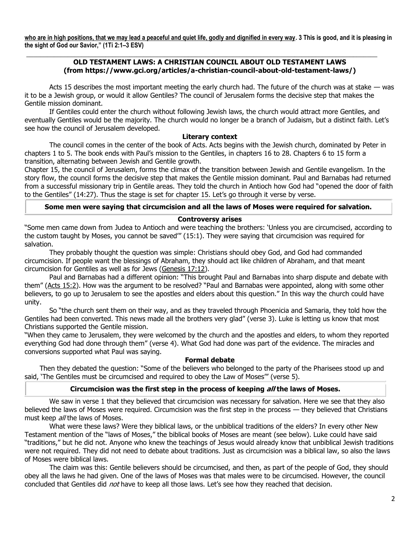**who are in high positions, that we may lead a peaceful and quiet life, godly and dignified in every way. 3 This is good, and it is pleasing in the sight of God our Savior," (1Ti 2:1–3 ESV)**

**\_\_\_\_\_\_\_\_\_\_\_\_\_\_\_\_\_\_\_\_\_\_\_\_\_\_\_\_\_\_\_\_\_\_\_\_\_\_\_\_\_\_\_\_\_\_\_\_\_\_\_\_\_\_\_\_\_\_\_\_\_\_\_\_\_\_\_\_\_\_\_\_\_\_\_\_\_\_\_\_\_\_\_\_\_\_\_\_\_\_\_\_\_\_\_\_\_\_\_\_\_\_**

# **OLD TESTAMENT LAWS: A CHRISTIAN COUNCIL ABOUT OLD TESTAMENT LAWS (from https://www.gci.org/articles/a-christian-council-about-old-testament-laws/)**

Acts 15 describes the most important meeting the early church had. The future of the church was at stake — was it to be a Jewish group, or would it allow Gentiles? The council of Jerusalem forms the decisive step that makes the Gentile mission dominant.

If Gentiles could enter the church without following Jewish laws, the church would attract more Gentiles, and eventually Gentiles would be the majority. The church would no longer be a branch of Judaism, but a distinct faith. Let's see how the council of Jerusalem developed.

#### **Literary context**

The council comes in the center of the book of Acts. Acts begins with the Jewish church, dominated by Peter in chapters 1 to 5. The book ends with Paul's mission to the Gentiles, in chapters 16 to 28. Chapters 6 to 15 form a transition, alternating between Jewish and Gentile growth.

Chapter 15, the council of Jerusalem, forms the climax of the transition between Jewish and Gentile evangelism. In the story flow, the council forms the decisive step that makes the Gentile mission dominant. Paul and Barnabas had returned from a successful missionary trip in Gentile areas. They told the church in Antioch how God had "opened the door of faith to the Gentiles" (14:27). Thus the stage is set for chapter 15. Let's go through it verse by verse.

### **Some men were saying that circumcision and all the laws of Moses were required for salvation.**

#### **Controversy arises**

"Some men came down from Judea to Antioch and were teaching the brothers: 'Unless you are circumcised, according to the custom taught by Moses, you cannot be saved'" (15:1). They were saying that circumcision was required for salvation.

They probably thought the question was simple: Christians should obey God, and God had commanded circumcision. If people want the blessings of Abraham, they should act like children of Abraham, and that meant circumcision for Gentiles as well as for Jews [\(Genesis 17:12\)](https://biblia.com/bible/niv/Gen%2017.12).

Paul and Barnabas had a different opinion: "This brought Paul and Barnabas into sharp dispute and debate with them" ([Acts 15:2\)](https://biblia.com/bible/niv/Acts%2015.2). How was the argument to be resolved? "Paul and Barnabas were appointed, along with some other believers, to go up to Jerusalem to see the apostles and elders about this question." In this way the church could have unity.

So "the church sent them on their way, and as they traveled through Phoenicia and Samaria, they told how the Gentiles had been converted. This news made all the brothers very glad" (verse 3). Luke is letting us know that most Christians supported the Gentile mission.

"When they came to Jerusalem, they were welcomed by the church and the apostles and elders, to whom they reported everything God had done through them" (verse 4). What God had done was part of the evidence. The miracles and conversions supported what Paul was saying.

#### **Formal debate**

 Then they debated the question: "Some of the believers who belonged to the party of the Pharisees stood up and said, 'The Gentiles must be circumcised and required to obey the Law of Moses'" (verse 5).

### **Circumcision was the first step in the process of keeping all the laws of Moses.**

We saw in verse 1 that they believed that circumcision was necessary for salvation. Here we see that they also believed the laws of Moses were required. Circumcision was the first step in the process — they believed that Christians must keep all the laws of Moses.

What were these laws? Were they biblical laws, or the unbiblical traditions of the elders? In every other New Testament mention of the "laws of Moses," the biblical books of Moses are meant (see below). Luke could have said "traditions," but he did not. Anyone who knew the teachings of Jesus would already know that unbiblical Jewish traditions were not required. They did not need to debate about traditions. Just as circumcision was a biblical law, so also the laws of Moses were biblical laws.

The claim was this: Gentile believers should be circumcised, and then, as part of the people of God, they should obey all the laws he had given. One of the laws of Moses was that males were to be circumcised. However, the council concluded that Gentiles did not have to keep all those laws. Let's see how they reached that decision.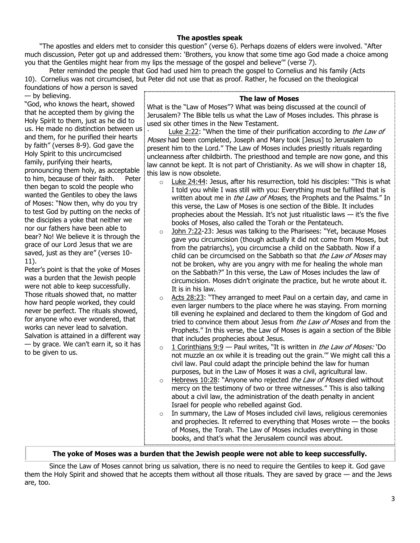# **The apostles speak**

 "The apostles and elders met to consider this question" (verse 6). Perhaps dozens of elders were involved. "After much discussion, Peter got up and addressed them: 'Brothers, you know that some time ago God made a choice among you that the Gentiles might hear from my lips the message of the gospel and believe'" (verse 7).

Peter reminded the people that God had used him to preach the gospel to Cornelius and his family (Acts 10). Cornelius was not circumcised, but Peter did not use that as proof. Rather, he focused on the theological foundations of how a person is saved

— by believing. "God, who knows the heart, showed that he accepted them by giving the Holy Spirit to them, just as he did to us. He made no distinction between us and them, for he purified their hearts by faith" (verses 8-9). God gave the Holy Spirit to this uncircumcised family, purifying their hearts, pronouncing them holy, as acceptable to him, because of their faith. Peter then began to scold the people who wanted the Gentiles to obey the laws of Moses: "Now then, why do you try to test God by putting on the necks of the disciples a yoke that neither we nor our fathers have been able to bear? No! We believe it is through the grace of our Lord Jesus that we are saved, just as they are" (verses 10- 11).

Peter's point is that the yoke of Moses was a burden that the Jewish people were not able to keep successfully. Those rituals showed that, no matter how hard people worked, they could never be perfect. The rituals showed, for anyone who ever wondered, that works can never lead to salvation. Salvation is attained in a different way — by grace. We can't earn it, so it has to be given to us.

## **The law of Moses**

What is the "Law of Moses"? What was being discussed at the council of Jerusalem? The Bible tells us what the Law of Moses includes. This phrase is used six other times in the New Testament.

[Luke 2:22](https://biblia.com/bible/niv/Luke%202.22): "When the time of their purification according to the Law of Moses had been completed, Joseph and Mary took [Jesus] to Jerusalem to present him to the Lord." The Law of Moses includes priestly rituals regarding uncleanness after childbirth. The priesthood and temple are now gone, and this law cannot be kept. It is not part of Christianity. As we will show in chapter 18, this law is now obsolete.

- o [Luke 24:44](https://biblia.com/bible/niv/Luke%2024.44): Jesus, after his resurrection, told his disciples: "This is what I told you while I was still with you: Everything must be fulfilled that is written about me in the Law of Moses, the Prophets and the Psalms." In this verse, the Law of Moses is one section of the Bible. It includes prophecies about the Messiah. It's not just ritualistic laws  $-$  it's the five books of Moses, also called the Torah or the Pentateuch.
- o [John 7:22-](https://biblia.com/bible/niv/John%207.22)23: Jesus was talking to the Pharisees: "Yet, because Moses gave you circumcision (though actually it did not come from Moses, but from the patriarchs), you circumcise a child on the Sabbath. Now if a child can be circumcised on the Sabbath so that the Law of Moses may not be broken, why are you angry with me for healing the whole man on the Sabbath?" In this verse, the Law of Moses includes the law of circumcision. Moses didn't originate the practice, but he wrote about it. It is in his law.
- $\circ$  [Acts 28:23](https://biblia.com/bible/niv/Acts%2028.23): "They arranged to meet Paul on a certain day, and came in even larger numbers to the place where he was staying. From morning till evening he explained and declared to them the kingdom of God and tried to convince them about Jesus from *the Law of Moses* and from the Prophets." In this verse, the Law of Moses is again a section of the Bible that includes prophecies about Jesus.
- $\circ$  [1 Corinthians 9:9](https://biblia.com/bible/niv/1%20Cor%209.9) Paul writes, "It is written in *the Law of Moses:* 'Do not muzzle an ox while it is treading out the grain.'" We might call this a civil law. Paul could adapt the principle behind the law for human purposes, but in the Law of Moses it was a civil, agricultural law.
- $\circ$  [Hebrews 10:28](https://biblia.com/bible/niv/Heb%2010.28): "Anyone who rejected the Law of Moses died without mercy on the testimony of two or three witnesses." This is also talking about a civil law, the administration of the death penalty in ancient Israel for people who rebelled against God.
- $\circ$  In summary, the Law of Moses included civil laws, religious ceremonies and prophecies. It referred to everything that Moses wrote — the books of Moses, the Torah. The Law of Moses includes everything in those books, and that's what the Jerusalem council was about.

# **The yoke of Moses was a burden that the Jewish people were not able to keep successfully.**

Since the Law of Moses cannot bring us salvation, there is no need to require the Gentiles to keep it. God gave them the Holy Spirit and showed that he accepts them without all those rituals. They are saved by grace — and the Jews are, too.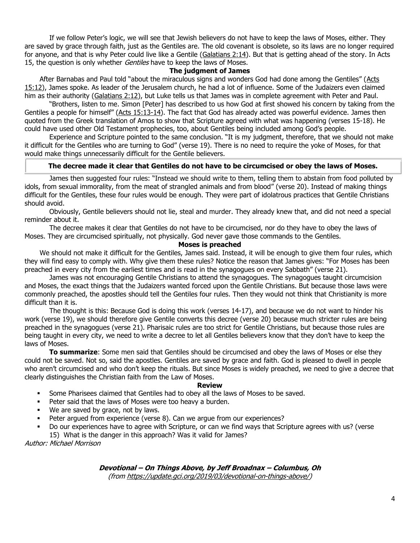If we follow Peter's logic, we will see that Jewish believers do not have to keep the laws of Moses, either. They are saved by grace through faith, just as the Gentiles are. The old covenant is obsolete, so its laws are no longer required for anyone, and that is why Peter could live like a Gentile [\(Galatians 2:14\)](https://biblia.com/bible/niv/Gal%202.14). But that is getting ahead of the story. In Acts 15, the question is only whether *Gentiles* have to keep the laws of Moses.

## **The judgment of James**

 After Barnabas and Paul told "about the miraculous signs and wonders God had done among the Gentiles" ([Acts](https://biblia.com/bible/niv/Acts%2015.12)  [15:12\)](https://biblia.com/bible/niv/Acts%2015.12), James spoke. As leader of the Jerusalem church, he had a lot of influence. Some of the Judaizers even claimed him as their authority [\(Galatians 2:12\)](https://biblia.com/bible/niv/Gal%202.12), but Luke tells us that James was in complete agreement with Peter and Paul.

"Brothers, listen to me. Simon [Peter] has described to us how God at first showed his concern by taking from the Gentiles a people for himself" ([Acts 15:13-14\)](https://biblia.com/bible/niv/Acts%2015.13-14). The fact that God has already acted was powerful evidence. James then quoted from the Greek translation of Amos to show that Scripture agreed with what was happening (verses 15-18). He could have used other Old Testament prophecies, too, about Gentiles being included among God's people.

Experience and Scripture pointed to the same conclusion. "It is my judgment, therefore, that we should not make it difficult for the Gentiles who are turning to God" (verse 19). There is no need to require the yoke of Moses, for that would make things unnecessarily difficult for the Gentile believers.

# **The decree made it clear that Gentiles do not have to be circumcised or obey the laws of Moses.**

James then suggested four rules: "Instead we should write to them, telling them to abstain from food polluted by idols, from sexual immorality, from the meat of strangled animals and from blood" (verse 20). Instead of making things difficult for the Gentiles, these four rules would be enough. They were part of idolatrous practices that Gentile Christians should avoid.

Obviously, Gentile believers should not lie, steal and murder. They already knew that, and did not need a special reminder about it.

The decree makes it clear that Gentiles do not have to be circumcised, nor do they have to obey the laws of Moses. They are circumcised spiritually, not physically. God never gave those commands to the Gentiles.

# **Moses is preached**

 We should not make it difficult for the Gentiles, James said. Instead, it will be enough to give them four rules, which they will find easy to comply with. Why give them these rules? Notice the reason that James gives: "For Moses has been preached in every city from the earliest times and is read in the synagogues on every Sabbath" (verse 21).

James was not encouraging Gentile Christians to attend the synagogues. The synagogues taught circumcision and Moses, the exact things that the Judaizers wanted forced upon the Gentile Christians. But because those laws were commonly preached, the apostles should tell the Gentiles four rules. Then they would not think that Christianity is more difficult than it is.

The thought is this: Because God is doing this work (verses 14-17), and because we do not want to hinder his work (verse 19), we should therefore give Gentile converts this decree (verse 20) because much stricter rules are being preached in the synagogues (verse 21). Pharisaic rules are too strict for Gentile Christians, but because those rules are being taught in every city, we need to write a decree to let all Gentiles believers know that they don't have to keep the laws of Moses.

**To summarize**: Some men said that Gentiles should be circumcised and obey the laws of Moses or else they could not be saved. Not so, said the apostles. Gentiles are saved by grace and faith. God is pleased to dwell in people who aren't circumcised and who don't keep the rituals. But since Moses is widely preached, we need to give a decree that clearly distinguishes the Christian faith from the Law of Moses.

### **Review**

- **•** Some Pharisees claimed that Gentiles had to obey all the laws of Moses to be saved.
- Peter said that the laws of Moses were too heavy a burden.
- We are saved by grace, not by laws.
- Peter argued from experience (verse 8). Can we argue from our experiences?
- Do our experiences have to agree with Scripture, or can we find ways that Scripture agrees with us? (verse
- 15) What is the danger in this approach? Was it valid for James?

Author: Michael Morrison

**Devotional – On Things Above, by Jeff Broadnax – Columbus, Oh** (fro[m https://update.gci.org/2019/03/devotional-on-things-above/\)](https://update.gci.org/2019/03/devotional-on-things-above/)